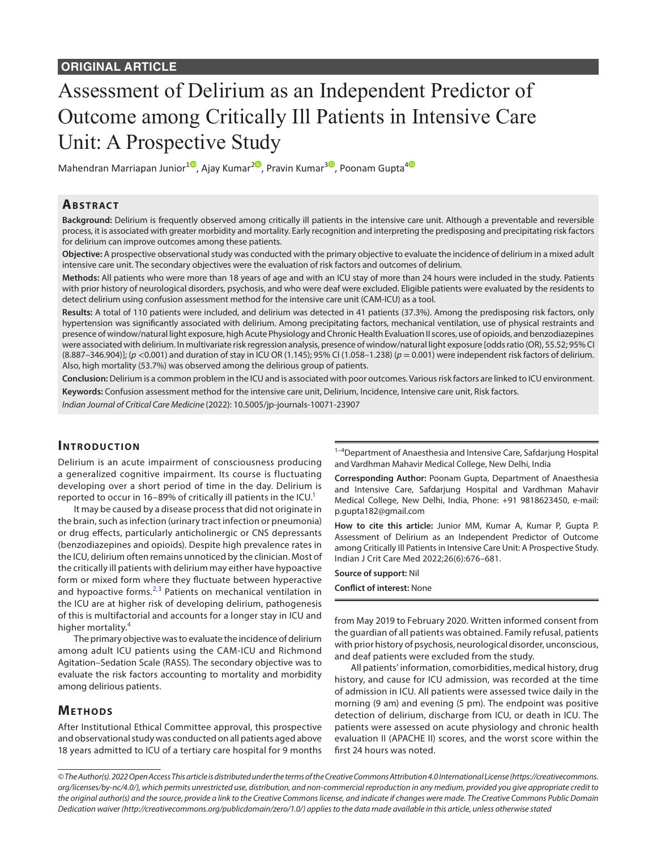# Assessment of Delirium as an Independent Predictor of Outcome among Critically Ill Patients in Intensive Care Unit: A Prospective Study

Mahendran Marriapan Junior<sup>10</sup>[,](https://orcid.org/0000-0002-4827-6650) Ajay Kumar<sup>[2](https://orcid.org/0000-0001-5643-7955)0</sup>, Pravin Kumar<sup>30</sup>, Poonam Gupta<sup>[4](https://orcid.org/0000-0002-3075-3412)0</sup>

## **ABSTRACT**

**Background:** Delirium is frequently observed among critically ill patients in the intensive care unit. Although a preventable and reversible process, it is associated with greater morbidity and mortality. Early recognition and interpreting the predisposing and precipitating risk factors for delirium can improve outcomes among these patients.

**Objective:** A prospective observational study was conducted with the primary objective to evaluate the incidence of delirium in a mixed adult intensive care unit. The secondary objectives were the evaluation of risk factors and outcomes of delirium.

**Methods:** All patients who were more than 18 years of age and with an ICU stay of more than 24 hours were included in the study. Patients with prior history of neurological disorders, psychosis, and who were deaf were excluded. Eligible patients were evaluated by the residents to detect delirium using confusion assessment method for the intensive care unit (CAM-ICU) as a tool.

**Results:** A total of 110 patients were included, and delirium was detected in 41 patients (37.3%). Among the predisposing risk factors, only hypertension was significantly associated with delirium. Among precipitating factors, mechanical ventilation, use of physical restraints and presence of window/natural light exposure, high Acute Physiology and Chronic Health Evaluation II scores, use of opioids, and benzodiazepines were associated with delirium. In multivariate risk regression analysis, presence of window/natural light exposure [odds ratio (OR), 55.52; 95% CI (8.887–346.904)]; (*p* <0.001) and duration of stay in ICU OR (1.145); 95% CI (1.058–1.238) (*p* = 0.001) were independent risk factors of delirium. Also, high mortality (53.7%) was observed among the delirious group of patients.

**Conclusion:** Delirium is a common problem in the ICU and is associated with poor outcomes. Various risk factors are linked to ICU environment. **Keywords:** Confusion assessment method for the intensive care unit, Delirium, Incidence, Intensive care unit, Risk factors.

*Indian Journal of Critical Care Medicine* (2022): 10.5005/jp-journals-10071-23907

## **INTRODUCTION**

Delirium is an acute impairment of consciousness producing a generalized cognitive impairment. Its course is fluctuating developing over a short period of time in the day. Delirium is reported to occur in 16–89% of critically ill patients in the ICU.<sup>1</sup>

It may be caused by a disease process that did not originate in the brain, such as infection (urinary tract infection or pneumonia) or drug effects, particularly anticholinergic or CNS depressants (benzodiazepines and opioids). Despite high prevalence rates in the ICU, delirium often remains unnoticed by the clinician. Most of the critically ill patients with delirium may either have hypoactive form or mixed form where they fluctuate between hyperactive and hypoactive forms. $^{2,3}$  $^{2,3}$  $^{2,3}$  $^{2,3}$  Patients on mechanical ventilation in the ICU are at higher risk of developing delirium, pathogenesis of this is multifactorial and accounts for a longer stay in ICU and higher mortality.<sup>[4](#page-5-1)</sup>

The primary objective was to evaluate the incidence of delirium among adult ICU patients using the CAM-ICU and Richmond Agitation–Sedation Scale (RASS). The secondary objective was to evaluate the risk factors accounting to mortality and morbidity among delirious patients.

## **METHODS**

After Institutional Ethical Committee approval, this prospective and observational study was conducted on all patients aged above 18 years admitted to ICU of a tertiary care hospital for 9 months

<sup>1-4</sup>Department of Anaesthesia and Intensive Care, Safdarjung Hospital and Vardhman Mahavir Medical College, New Delhi, India

**Corresponding Author:** Poonam Gupta, Department of Anaesthesia and Intensive Care, Safdarjung Hospital and Vardhman Mahavir Medical College, New Delhi, India, Phone: +91 9818623450, e-mail: p.gupta182@gmail.com

**How to cite this article:** Junior MM, Kumar A, Kumar P, Gupta P. Assessment of Delirium as an Independent Predictor of Outcome among Critically Ill Patients in Intensive Care Unit: A Prospective Study. Indian J Crit Care Med 2022;26(6):676–681.

## **Source of support:** Nil

**Conflict of interest:** None

from May 2019 to February 2020. Written informed consent from the guardian of all patients was obtained. Family refusal, patients with prior history of psychosis, neurological disorder, unconscious, and deaf patients were excluded from the study.

All patients' information, comorbidities, medical history, drug history, and cause for ICU admission, was recorded at the time of admission in ICU. All patients were assessed twice daily in the morning (9 am) and evening (5 pm). The endpoint was positive detection of delirium, discharge from ICU, or death in ICU. The patients were assessed on acute physiology and chronic health evaluation II (APACHE II) scores, and the worst score within the first 24 hours was noted.

*<sup>©</sup> The Author(s). 2022 Open Access This article is distributed under the terms of the Creative Commons Attribution 4.0 International License ([https://creativecommons.](https://creativecommons.org/licenses/by-nc/4.0/) [org/licenses/by-nc/4.0/](https://creativecommons.org/licenses/by-nc/4.0/)), which permits unrestricted use, distribution, and non-commercial reproduction in any medium, provided you give appropriate credit to the original author(s) and the source, provide a link to the Creative Commons license, and indicate if changes were made. The Creative Commons Public Domain Dedication waiver ([http://creativecommons.org/publicdomain/zero/1.0/\)](http://creativecommons.org/publicdomain/zero/1.0/) applies to the data made available in this article, unless otherwise stated*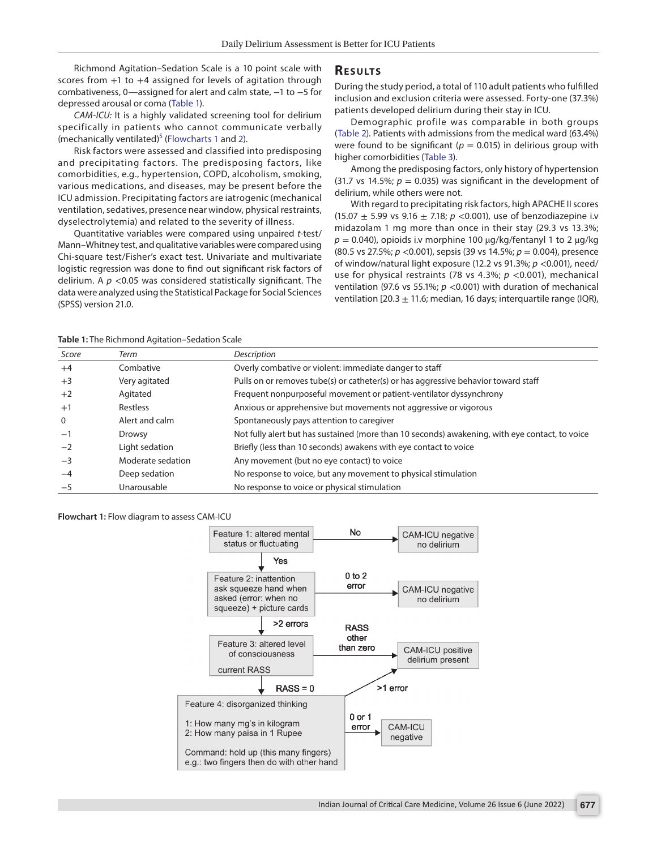Richmond Agitation–Sedation Scale is a 10 point scale with scores from  $+1$  to  $+4$  assigned for levels of agitation through combativeness, 0—assigned for alert and calm state, −1 to −5 for depressed arousal or coma ([Table 1](#page-1-0)).

*CAM-ICU:* It is a highly validated screening tool for delirium specifically in patients who cannot communicate verbally (mechanically ventilated)<sup>5</sup> [\(Flowcharts 1](#page-1-1) and [2\)](#page-2-0).

Risk factors were assessed and classified into predisposing and precipitating factors. The predisposing factors, like comorbidities, e.g., hypertension, COPD, alcoholism, smoking, various medications, and diseases, may be present before the ICU admission. Precipitating factors are iatrogenic (mechanical ventilation, sedatives, presence near window, physical restraints, dyselectrolytemia) and related to the severity of illness.

Quantitative variables were compared using unpaired *t*-test/ Mann–Whitney test, and qualitative variables were compared using Chi-square test/Fisher's exact test. Univariate and multivariate logistic regression was done to find out significant risk factors of delirium. A *p* <0.05 was considered statistically significant. The data were analyzed using the Statistical Package for Social Sciences (SPSS) version 21.0.

## **RESULTS**

During the study period, a total of 110 adult patients who fulfilled inclusion and exclusion criteria were assessed. Forty-one (37.3%) patients developed delirium during their stay in ICU.

Demographic profile was comparable in both groups ([Table 2](#page-3-0)). Patients with admissions from the medical ward (63.4%) were found to be significant ( $p = 0.015$ ) in delirious group with higher comorbidities ([Table 3](#page-3-1)).

Among the predisposing factors, only history of hypertension (31.7 vs 14.5%;  $p = 0.035$ ) was significant in the development of delirium, while others were not.

With regard to precipitating risk factors, high APACHE II scores (15.07  $\pm$  5.99 vs 9.16  $\pm$  7.18;  $p$  <0.001), use of benzodiazepine i.v midazolam 1 mg more than once in their stay (29.3 vs 13.3%;  $p = 0.040$ , opioids i.v morphine 100  $\mu$ g/kg/fentanyl 1 to 2  $\mu$ g/kg (80.5 vs 27.5%; *p* <0.001), sepsis (39 vs 14.5%; *p* = 0.004), presence of window/natural light exposure (12.2 vs 91.3%; *p* <0.001), need/ use for physical restraints (78 vs 4.3%; *p* <0.001), mechanical ventilation (97.6 vs 55.1%;  $p$  <0.001) with duration of mechanical ventilation [20.3  $\pm$  11.6; median, 16 days; interquartile range (IQR),

#### <span id="page-1-0"></span>**Table 1:** The Richmond Agitation–Sedation Scale

| Score       | Term              | Description                                                                                    |
|-------------|-------------------|------------------------------------------------------------------------------------------------|
| $+4$        | Combative         | Overly combative or violent: immediate danger to staff                                         |
| $+3$        | Very agitated     | Pulls on or removes tube(s) or catheter(s) or has aggressive behavior toward staff             |
| $+2$        | Agitated          | Frequent nonpurposeful movement or patient-ventilator dyssynchrony                             |
| $+1$        | Restless          | Anxious or apprehensive but movements not aggressive or vigorous                               |
| $\mathbf 0$ | Alert and calm    | Spontaneously pays attention to caregiver                                                      |
| $-1$        | Drowsy            | Not fully alert but has sustained (more than 10 seconds) awakening, with eye contact, to voice |
| $-2$        | Light sedation    | Briefly (less than 10 seconds) awakens with eye contact to voice                               |
| $-3$        | Moderate sedation | Any movement (but no eye contact) to voice                                                     |
| $-4$        | Deep sedation     | No response to voice, but any movement to physical stimulation                                 |
| $-5$        | Unarousable       | No response to voice or physical stimulation                                                   |

### <span id="page-1-1"></span>**Flowchart 1:** Flow diagram to assess CAM-ICU

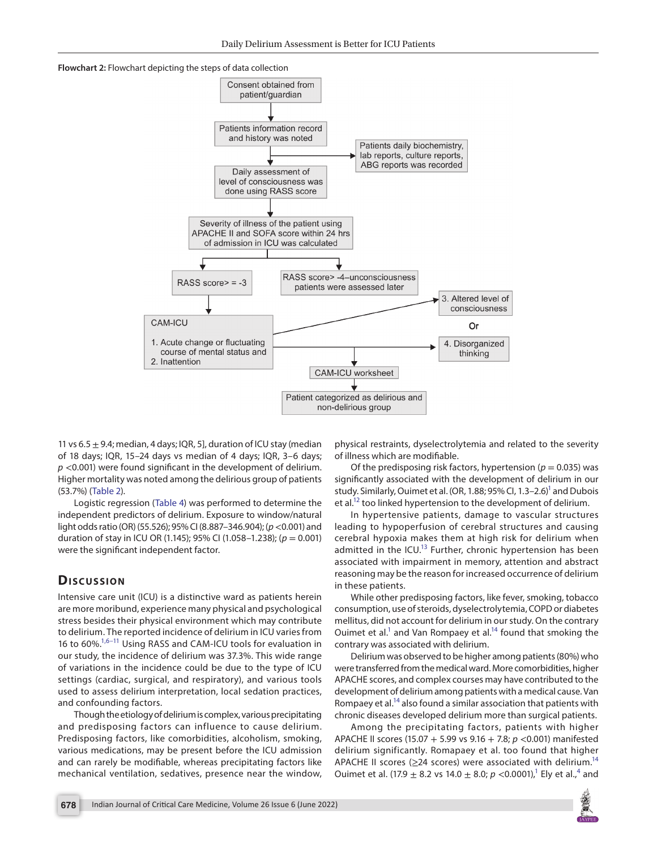<span id="page-2-0"></span>**Flowchart 2:** Flowchart depicting the steps of data collection



11 vs 6.5  $\pm$  9.4; median, 4 days; IQR, 5], duration of ICU stay (median of 18 days; IQR, 15–24 days vs median of 4 days; IQR, 3–6 days; *p* <0.001) were found significant in the development of delirium. Higher mortality was noted among the delirious group of patients (53.7%) ([Table 2\)](#page-3-0).

Logistic regression ([Table 4](#page-4-2)) was performed to determine the independent predictors of delirium. Exposure to window/natural light odds ratio (OR) (55.526); 95% CI (8.887–346.904); (*p*<0.001) and duration of stay in ICU OR (1.145); 95% CI (1.058–1.238); (*p* = 0.001) were the significant independent factor.

# **Discussion**

Intensive care unit (ICU) is a distinctive ward as patients herein are more moribund, experience many physical and psychological stress besides their physical environment which may contribute to delirium. The reported incidence of delirium in ICU varies from 16 to 60%[.1](#page-4-0),[6](#page-5-6)[–11](#page-5-7) Using RASS and CAM-ICU tools for evaluation in our study, the incidence of delirium was 37.3%. This wide range of variations in the incidence could be due to the type of ICU settings (cardiac, surgical, and respiratory), and various tools used to assess delirium interpretation, local sedation practices, and confounding factors.

Though the etiology of delirium is complex, various precipitating and predisposing factors can influence to cause delirium. Predisposing factors, like comorbidities, alcoholism, smoking, various medications, may be present before the ICU admission and can rarely be modifiable, whereas precipitating factors like mechanical ventilation, sedatives, presence near the window,

physical restraints, dyselectrolytemia and related to the severity of illness which are modifiable.

Of the predisposing risk factors, hypertension ( $p = 0.035$ ) was significantly associated with the development of delirium in our study. Similarly, Ouimet et al. (OR, 1.88; 95% Cl, 1.3–2.6)<sup>1</sup> and Dubois et al[.12](#page-5-3) too linked hypertension to the development of delirium.

In hypertensive patients, damage to vascular structures leading to hypoperfusion of cerebral structures and causing cerebral hypoxia makes them at high risk for delirium when admitted in the ICU. $^{13}$  Further, chronic hypertension has been associated with impairment in memory, attention and abstract reasoning may be the reason for increased occurrence of delirium in these patients.

While other predisposing factors, like fever, smoking, tobacco consumption, use of steroids, dyselectrolytemia, COPD or diabetes mellitus, did not account for delirium in our study. On the contrary Ouimet et al. $<sup>1</sup>$  and Van Rompaey et al. $<sup>14</sup>$  found that smoking the</sup></sup> contrary was associated with delirium.

Delirium was observed to be higher among patients (80%) who were transferred from the medical ward. More comorbidities, higher APACHE scores, and complex courses may have contributed to the development of delirium among patients with a medical cause. Van Rompaey et al.<sup>14</sup> also found a similar association that patients with chronic diseases developed delirium more than surgical patients.

Among the precipitating factors, patients with higher APACHE II scores (15.07 + 5.99 vs 9.16 + 7.8; *p* <0.001) manifested delirium significantly. Romapaey et al. too found that higher APACHE II scores ( $\geq$ 24 scores) were associated with delirium.<sup>14</sup> Ouimet et al.  $(17.9 \pm 8.2 \text{ vs } 14.0 \pm 8.0; p \lt 0.0001)$  $(17.9 \pm 8.2 \text{ vs } 14.0 \pm 8.0; p \lt 0.0001)$  $(17.9 \pm 8.2 \text{ vs } 14.0 \pm 8.0; p \lt 0.0001)$ ,<sup>1</sup> Ely et al.,<sup>4</sup> and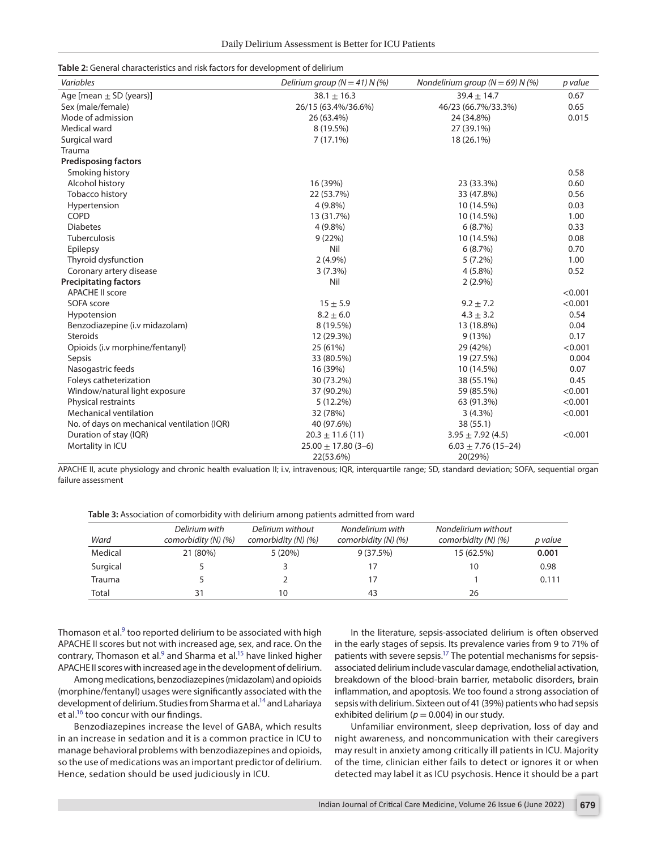<span id="page-3-0"></span>

| Table 2: General characteristics and risk factors for development of delirium |  |
|-------------------------------------------------------------------------------|--|
|-------------------------------------------------------------------------------|--|

| Variables                                   | Delirium group ( $N = 41$ ) N (%) | Nondelirium group ( $N = 69$ ) N (%) | p value |
|---------------------------------------------|-----------------------------------|--------------------------------------|---------|
| Age [mean $\pm$ SD (years)]                 | $38.1 \pm 16.3$                   | $39.4 \pm 14.7$                      | 0.67    |
| Sex (male/female)                           | 26/15 (63.4%/36.6%)               | 46/23 (66.7%/33.3%)                  | 0.65    |
| Mode of admission                           | 26 (63.4%)                        | 24 (34.8%)                           | 0.015   |
| Medical ward                                | 8 (19.5%)                         | 27 (39.1%)                           |         |
| Surgical ward                               | 7(17.1%)                          | 18 (26.1%)                           |         |
| Trauma                                      |                                   |                                      |         |
| <b>Predisposing factors</b>                 |                                   |                                      |         |
| Smoking history                             |                                   |                                      | 0.58    |
| Alcohol history                             | 16 (39%)                          | 23 (33.3%)                           | 0.60    |
| Tobacco history                             | 22 (53.7%)                        | 33 (47.8%)                           | 0.56    |
| Hypertension                                | 4 (9.8%)                          | 10 (14.5%)                           | 0.03    |
| COPD                                        | 13 (31.7%)                        | 10 (14.5%)                           | 1.00    |
| <b>Diabetes</b>                             | $4(9.8\%)$                        | 6(8.7%)                              | 0.33    |
| <b>Tuberculosis</b>                         | 9(22%)                            | 10 (14.5%)                           | 0.08    |
| Epilepsy                                    | Nil                               | 6(8.7%)                              | 0.70    |
| Thyroid dysfunction                         | $2(4.9\%)$                        | $5(7.2\%)$                           | 1.00    |
| Coronary artery disease                     | 3(7.3%)                           | $4(5.8\%)$                           | 0.52    |
| <b>Precipitating factors</b>                | Nil                               | $2(2.9\%)$                           |         |
| <b>APACHE II score</b>                      |                                   |                                      | < 0.001 |
| SOFA score                                  | $15 + 5.9$                        | $9.2 \pm 7.2$                        | < 0.001 |
| Hypotension                                 | $8.2 \pm 6.0$                     | $4.3 \pm 3.2$                        | 0.54    |
| Benzodiazepine (i.v midazolam)              | 8 (19.5%)                         | 13 (18.8%)                           | 0.04    |
| <b>Steroids</b>                             | 12 (29.3%)                        | 9(13%)                               | 0.17    |
| Opioids (i.v morphine/fentanyl)             | 25 (61%)                          | 29 (42%)                             | < 0.001 |
| Sepsis                                      | 33 (80.5%)                        | 19 (27.5%)                           | 0.004   |
| Nasogastric feeds                           | 16 (39%)                          | 10 (14.5%)                           | 0.07    |
| Foleys catheterization                      | 30 (73.2%)                        | 38 (55.1%)                           | 0.45    |
| Window/natural light exposure               | 37 (90.2%)                        | 59 (85.5%)                           | < 0.001 |
| Physical restraints                         | $5(12.2\%)$                       | 63 (91.3%)                           | < 0.001 |
| <b>Mechanical ventilation</b>               | 32 (78%)                          | $3(4.3\%)$                           | < 0.001 |
| No. of days on mechanical ventilation (IQR) | 40 (97.6%)                        | 38 (55.1)                            |         |
| Duration of stay (IQR)                      | $20.3 \pm 11.6(11)$               | $3.95 \pm 7.92$ (4.5)                | < 0.001 |
| Mortality in ICU                            | $25.00 \pm 17.80$ (3-6)           | $6.03 \pm 7.76$ (15-24)              |         |
|                                             | 22(53.6%)                         | 20(29%)                              |         |

APACHE II, acute physiology and chronic health evaluation II; i.v, intravenous; IQR, interquartile range; SD, standard deviation; SOFA, sequential organ failure assessment

<span id="page-3-1"></span>**Table 3:** Association of comorbidity with delirium among patients admitted from ward

| Ward     | Delirium with<br>comorbidity $(N)$ $(\%)$ | Delirium without<br>comorbidity $(N)$ $(\%)$ | Nondelirium with<br>comorbidity $(N)$ $(\%)$ | Nondelirium without<br>comorbidity $(N)$ $(\%)$ | p value |
|----------|-------------------------------------------|----------------------------------------------|----------------------------------------------|-------------------------------------------------|---------|
| Medical  | 21 (80%)                                  | 5(20%)                                       | 9(37.5%)                                     | 15 (62.5%)                                      | 0.001   |
| Surgical |                                           |                                              | 17                                           | 10                                              | 0.98    |
| Trauma   |                                           |                                              | 17                                           |                                                 | 0.111   |
| Total    |                                           | 10                                           | 43                                           | 26                                              |         |

Thomason et al. $9$  too reported delirium to be associated with high APACHE II scores but not with increased age, sex, and race. On the contrary, Thomason et al.<sup>9</sup> and Sharma et al.<sup>15</sup> have linked higher APACHE II scores with increased age in the development of delirium.

Among medications, benzodiazepines (midazolam) and opioids (morphine/fentanyl) usages were significantly associated with the development of delirium. Studies from Sharma et al.<sup>14</sup> and Lahariaya et al. $^{16}$  too concur with our findings.

Benzodiazepines increase the level of GABA, which results in an increase in sedation and it is a common practice in ICU to manage behavioral problems with benzodiazepines and opioids, so the use of medications was an important predictor of delirium. Hence, sedation should be used judiciously in ICU.

In the literature, sepsis-associated delirium is often observed in the early stages of sepsis. Its prevalence varies from 9 to 71% of patients with severe sepsis[.17](#page-5-8) The potential mechanisms for sepsisassociated delirium include vascular damage, endothelial activation, breakdown of the blood-brain barrier, metabolic disorders, brain inflammation, and apoptosis. We too found a strong association of sepsis with delirium. Sixteen out of 41 (39%) patients who had sepsis exhibited delirium ( $p = 0.004$ ) in our study.

Unfamiliar environment, sleep deprivation, loss of day and night awareness, and noncommunication with their caregivers may result in anxiety among critically ill patients in ICU. Majority of the time, clinician either fails to detect or ignores it or when detected may label it as ICU psychosis. Hence it should be a part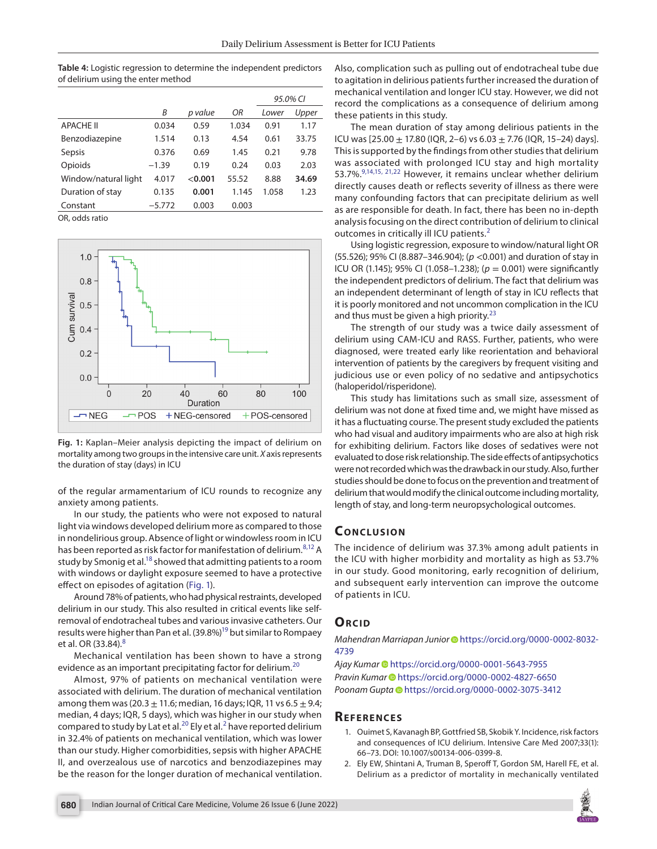<span id="page-4-2"></span>**Table 4:** Logistic regression to determine the independent predictors of delirium using the enter method

|                      |          |         |       | 95.0% CI |       |
|----------------------|----------|---------|-------|----------|-------|
|                      | Β        | p value | ΟR    | Lower    | Upper |
| <b>APACHE II</b>     | 0.034    | 0.59    | 1.034 | 0.91     | 1.17  |
| Benzodiazepine       | 1.514    | 0.13    | 4.54  | 0.61     | 33.75 |
| Sepsis               | 0.376    | 0.69    | 1.45  | 0.21     | 9.78  |
| Opioids              | $-1.39$  | 0.19    | 0.24  | 0.03     | 2.03  |
| Window/natural light | 4.017    | < 0.001 | 55.52 | 8.88     | 34.69 |
| Duration of stay     | 0.135    | 0.001   | 1.145 | 1.058    | 1.23  |
| Constant             | $-5.772$ | 0.003   | 0.003 |          |       |

OR, odds ratio



<span id="page-4-3"></span>**Fig. 1:** Kaplan–Meier analysis depicting the impact of delirium on mortality among two groups in the intensive care unit. *X* axis represents the duration of stay (days) in ICU

of the regular armamentarium of ICU rounds to recognize any anxiety among patients.

In our study, the patients who were not exposed to natural light via windows developed delirium more as compared to those in nondelirious group. Absence of light or windowless room in ICU has been reported as risk factor for manifestation of delirium.<sup>[8,](#page-5-15)[12](#page-5-3)</sup> A study by Smonig et al.<sup>18</sup> showed that admitting patients to a room with windows or daylight exposure seemed to have a protective effect on episodes of agitation [\(Fig. 1\)](#page-4-3).

Around 78% of patients, who had physical restraints, developed delirium in our study. This also resulted in critical events like selfremoval of endotracheal tubes and various invasive catheters. Our results were higher than Pan et al. (39.8%)<sup>19</sup> but similar to Rompaey et al. OR  $(33.84).$  $(33.84).$  $(33.84).$ <sup>8</sup>

Mechanical ventilation has been shown to have a strong evidence as an important precipitating factor for delirium.<sup>[20](#page-5-18)</sup>

Almost, 97% of patients on mechanical ventilation were associated with delirium. The duration of mechanical ventilation among them was  $(20.3 \pm 11.6)$ ; median, 16 days; IQR, 11 vs  $6.5 \pm 9.4$ ; median, 4 days; IQR, 5 days), which was higher in our study when compared to study by Lat et al.<sup>[2](#page-4-1)0</sup> Ely et al.<sup>2</sup> have reported delirium in 32.4% of patients on mechanical ventilation, which was lower than our study. Higher comorbidities, sepsis with higher APACHE II, and overzealous use of narcotics and benzodiazepines may be the reason for the longer duration of mechanical ventilation. Also, complication such as pulling out of endotracheal tube due to agitation in delirious patients further increased the duration of mechanical ventilation and longer ICU stay. However, we did not record the complications as a consequence of delirium among these patients in this study.

The mean duration of stay among delirious patients in the ICU was  $[25.00 \pm 17.80$  (IQR, 2–6) vs 6.03  $\pm$  7.76 (IQR, 15–24) days]. This is supported by the findings from other studies that delirium was associated with prolonged ICU stay and high mortality 53.7%.<sup>9,[14](#page-5-5)[,15](#page-5-10), [21](#page-5-12),22</sup> However, it remains unclear whether delirium directly causes death or reflects severity of illness as there were many confounding factors that can precipitate delirium as well as are responsible for death. In fact, there has been no in-depth analysis focusing on the direct contribution of delirium to clinical outcomes in critically ill ICU patients.<sup>[2](#page-4-1)</sup>

Using logistic regression, exposure to window/natural light OR (55.526); 95% CI (8.887–346.904); (*p* <0.001) and duration of stay in ICU OR (1.145); 95% CI (1.058–1.238); (*p* = 0.001) were significantly the independent predictors of delirium. The fact that delirium was an independent determinant of length of stay in ICU reflects that it is poorly monitored and not uncommon complication in the ICU and thus must be given a high priority.<sup>[23](#page-5-14)</sup>

The strength of our study was a twice daily assessment of delirium using CAM-ICU and RASS. Further, patients, who were diagnosed, were treated early like reorientation and behavioral intervention of patients by the caregivers by frequent visiting and judicious use or even policy of no sedative and antipsychotics (haloperidol/risperidone).

This study has limitations such as small size, assessment of delirium was not done at fixed time and, we might have missed as it has a fluctuating course. The present study excluded the patients who had visual and auditory impairments who are also at high risk for exhibiting delirium. Factors like doses of sedatives were not evaluated to dose risk relationship. The side effects of antipsychotics were not recorded which was the drawback in our study. Also, further studies should be done to focus on the prevention and treatment of delirium that would modify the clinical outcome including mortality, length of stay, and long-term neuropsychological outcomes.

## **Conc lusion**

The incidence of delirium was 37.3% among adult patients in the ICU with higher morbidity and mortality as high as 53.7% in our study. Good monitoring, early recognition of delirium, and subsequent early intervention can improve the outcome of patients in ICU.

## **ORCID**

*Mahendran Marriapan Junior* [h](https://orcid.org/0000-0002-8032-4739)ttps://orcid.org/0000-0002-8032- 4739

Ajay Kumar <sup>@</sup> [h](https://orcid.org/0000-0001-5643-7955)ttps://orcid.org/0000-0001-5643-7955 *Pravin Kumar* [h](https://orcid.org/0000-0002-4827-6650)ttps://orcid.org/0000-0002-4827-6650 *Poonam Gupt[a](https://orcid.org/0000-0002-3075-3412)* https://orcid.org/0000-0002-3075-3412

## **Re f er enc es**

- <span id="page-4-0"></span>1. Ouimet S, Kavanagh BP, Gottfried SB, Skobik Y. Incidence, risk factors and consequences of ICU delirium. Intensive Care Med 2007;33(1): 66–73. DOI: 10.1007/s00134-006-0399-8.
- <span id="page-4-1"></span>2. Ely EW, Shintani A, Truman B, Speroff T, Gordon SM, Harell FE, et al. Delirium as a predictor of mortality in mechanically ventilated